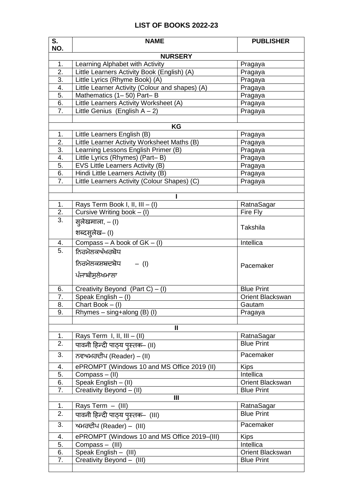## **LIST OF BOOKS 2022-23**

| S.                     | <b>NAME</b>                                                                       | <b>PUBLISHER</b>                      |  |  |
|------------------------|-----------------------------------------------------------------------------------|---------------------------------------|--|--|
| NO.                    |                                                                                   |                                       |  |  |
| <b>NURSERY</b>         |                                                                                   |                                       |  |  |
| 1.                     | Learning Alphabet with Activity                                                   | Pragaya                               |  |  |
| $\overline{2}$ .<br>3. | Little Learners Activity Book (English) (A)                                       | Pragaya                               |  |  |
| 4.                     | Little Lyrics (Rhyme Book) (A)<br>Little Learner Activity (Colour and shapes) (A) | Pragaya                               |  |  |
| 5.                     | Mathematics (1-50) Part-B                                                         | Pragaya<br>Pragaya                    |  |  |
| 6.                     | Little Learners Activity Worksheet (A)                                            | Pragaya                               |  |  |
| 7.                     | Little Genius (English $A - 2$ )                                                  | Pragaya                               |  |  |
|                        |                                                                                   |                                       |  |  |
| KG                     |                                                                                   |                                       |  |  |
| 1.                     | Little Learners English (B)                                                       | Pragaya                               |  |  |
| 2.                     | Little Learner Activity Worksheet Maths (B)                                       | Pragaya                               |  |  |
| 3.                     | Learning Lessons English Primer (B)                                               | Pragaya                               |  |  |
| 4.                     | Little Lyrics (Rhymes) (Part-B)                                                   | Pragaya                               |  |  |
| 5.                     | EVS Little Learners Activity (B)                                                  | Pragaya                               |  |  |
| 6.                     | Hindi Little Learners Activity (B)                                                | Pragaya                               |  |  |
| 7.                     | Little Learners Activity (Colour Shapes) (C)                                      | Pragaya                               |  |  |
|                        |                                                                                   |                                       |  |  |
| 1.                     |                                                                                   |                                       |  |  |
| 2.                     | Rays Term Book I, II, III - (I)<br>Cursive Writing book $-$ (I)                   | RatnaSagar<br>Fire Fly                |  |  |
| 3.                     |                                                                                   |                                       |  |  |
|                        | सुलेखमाला, — (l)                                                                  | Takshila                              |  |  |
|                        | शब्दस् <b>लेख</b> – (I)                                                           |                                       |  |  |
| 4.                     | $Compass - A book of GK - (I)$                                                    | Intellica                             |  |  |
| $\overline{5}$ .       | ਨਿਰਮੋਲਕਅੱਖਰਬੋਧ                                                                    |                                       |  |  |
|                        | ਨਿਰਮੋਲਕਸ਼ਬਦਬੋਧ – (I)                                                              | Pacemaker                             |  |  |
|                        | ਪੰਜਾਬੀਸਲੇਖਮਾਲਾ                                                                    |                                       |  |  |
|                        |                                                                                   |                                       |  |  |
| 6.                     | Creativity Beyond $(Part C) - (I)$                                                | <b>Blue Print</b>                     |  |  |
| 7.                     | Speak English - (I)                                                               | Orient Blackswan                      |  |  |
| 8.                     | Chart Book - (I)                                                                  | Gautam                                |  |  |
| 9.                     | Rhymes $-$ sing+along (B) (I)                                                     | Pragaya                               |  |  |
|                        | $\mathbf{I}$                                                                      |                                       |  |  |
| 1.                     | Rays Term I, II, III $-$ (II)                                                     | RatnaSagar                            |  |  |
| 2.                     | पावनी हिन्दी पाठ्य पुस्तक– (II)                                                   | <b>Blue Print</b>                     |  |  |
| 3.                     |                                                                                   | Pacemaker                             |  |  |
|                        | ਨਵਅਮਰਦੀਪ (Reader) – (II)                                                          |                                       |  |  |
| 4.                     | ePROMPT (Windows 10 and MS Office 2019 (II)                                       | <b>Kips</b>                           |  |  |
| 5.                     | Compass - (II)                                                                    | Intellica                             |  |  |
| 6.                     | Speak English - (II)                                                              | Orient Blackswan<br><b>Blue Print</b> |  |  |
| 7.                     | Creativity Beyond - (II)<br>$\mathbf{III}$                                        |                                       |  |  |
| 1.                     | Rays Term - (III)                                                                 | RatnaSagar                            |  |  |
| 2.                     | पावनी हिन्दी पाठ्य पुस्तक- (III)                                                  | <b>Blue Print</b>                     |  |  |
| 3.                     | ਅਮਰਦੀਪ (Reader) – (III)                                                           | Pacemaker                             |  |  |
|                        |                                                                                   |                                       |  |  |
| 4.                     | ePROMPT (Windows 10 and MS Office 2019-(III)                                      | <b>Kips</b>                           |  |  |
| 5.<br>6.               | Compass - (III)                                                                   | Intellica<br>Orient Blackswan         |  |  |
| 7.                     | Speak English - (III)<br>Creativity Beyond - (III)                                | <b>Blue Print</b>                     |  |  |
|                        |                                                                                   |                                       |  |  |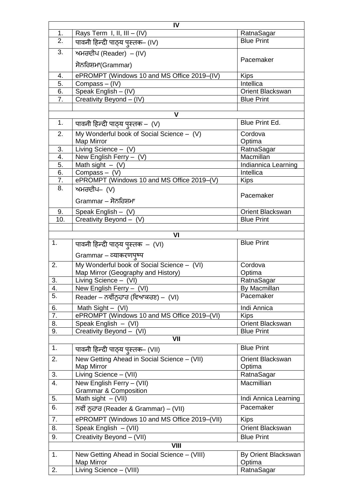|                | IV                                                                                    |                            |  |
|----------------|---------------------------------------------------------------------------------------|----------------------------|--|
| 1.             | Rays Term $I, II, III - (IV)$                                                         | RatnaSagar                 |  |
| 2.             | पावनी हिन्दी पाठ्य पुस्तक- (IV)                                                       | <b>Blue Print</b>          |  |
| 3.             | ਅਮਰਦੀਪ (Reader) – (IV)                                                                |                            |  |
|                | ਸੋਨਰਿਸ਼ਮਾ(Grammar)                                                                    | Pacemaker                  |  |
| 4.             | ePROMPT (Windows 10 and MS Office 2019-(IV)                                           | <b>Kips</b>                |  |
| 5.             | Compass - (IV)                                                                        | Intellica                  |  |
| 6.             | Speak English - (IV)                                                                  | Orient Blackswan           |  |
| 7.             | Creativity Beyond - (IV)                                                              | <b>Blue Print</b>          |  |
|                |                                                                                       |                            |  |
|                | V                                                                                     |                            |  |
| 1.             | पावनी हिन्दी पाठ्य पुस्तक –  (V)                                                      | Blue Print Ed.             |  |
| 2.             | My Wonderful book of Social Science - (V)                                             | Cordova                    |  |
|                | Map Mirror                                                                            | Optima                     |  |
| 3.             | Living Science $-$ (V)                                                                | RatnaSagar                 |  |
| 4.             | New English Ferry - (V)                                                               | Macmillan                  |  |
| 5.             | Math sight $-$ (V)                                                                    | Indiannica Learning        |  |
| 6.             | Compass $-$ (V)                                                                       | Intellica                  |  |
| 7.             | ePROMPT (Windows 10 and MS Office 2019-(V)                                            | <b>Kips</b>                |  |
| 8.             | ਅਮਰਦੀਪ– (V)                                                                           |                            |  |
|                | Grammar – ਸੋਨਰਿਸ਼ਮਾ                                                                   | Pacemaker                  |  |
| 9.             | Speak English $-$ (V)                                                                 | <b>Orient Blackswan</b>    |  |
| 10.            | Creativity Beyond - (V)                                                               | <b>Blue Print</b>          |  |
|                |                                                                                       |                            |  |
|                | VI                                                                                    |                            |  |
| 1.             | पावनी हिन्दी पाठ्य पुस्तक - (VI)                                                      | <b>Blue Print</b>          |  |
|                | Grammar – व्याकरणपुष्प                                                                |                            |  |
| 2.             | My Wonderful book of Social Science - (VI)                                            | Cordova                    |  |
|                | Map Mirror (Geography and History)                                                    | Optima                     |  |
| 3.             | Living Science - (VI)                                                                 | RatnaSagar                 |  |
| 4.             | New English Ferry - (VI)                                                              | By Macmillan               |  |
| 5.             | Reader – ਨਵੀਂਨੁਹਾਰ (ਵਿਆਕਰਣ) –  (VI)                                                   | Pacemaker                  |  |
|                |                                                                                       |                            |  |
| 6.             | Math Sight $-$ (VI)                                                                   | Indi Annica                |  |
| 7.             | ePROMPT (Windows 10 and MS Office 2019-(VI)                                           | <b>Kips</b>                |  |
| 8.             | Speak English - (VI)                                                                  | Orient Blackswan           |  |
| 9.             | Creativity Beyond - (VI)<br>VII                                                       | <b>Blue Print</b>          |  |
|                |                                                                                       |                            |  |
| 1 <sub>1</sub> | पावनी हिन्दी पाठ्य पुस्तक- (VII)                                                      | <b>Blue Print</b>          |  |
| 2.             | New Getting Ahead in Social Science - (VII)<br>Map Mirror                             | Orient Blackswan<br>Optima |  |
| 3.             | Living Science - (VII)                                                                | RatnaSagar                 |  |
| 4.             | New English Ferry - (VII)                                                             | Macmillian                 |  |
|                | <b>Grammar &amp; Composition</b>                                                      |                            |  |
| 5.             | Math sight $-$ (VII)                                                                  | Indi Annica Learning       |  |
| 6.             |                                                                                       | Pacemaker                  |  |
| 7.             | ਨਵੀਂ ਨੁਹਾਰ (Reader & Grammar) – (VII)<br>ePROMPT (Windows 10 and MS Office 2019-(VII) | <b>Kips</b>                |  |
|                |                                                                                       |                            |  |
| 8.             | Speak English $-(\overline{VII})$                                                     | Orient Blackswan           |  |
| 9.             | Creativity Beyond - (VII)                                                             | <b>Blue Print</b>          |  |
| VIII           |                                                                                       |                            |  |
| 1.             | New Getting Ahead in Social Science - (VIII)                                          | By Orient Blackswan        |  |
|                | Map Mirror                                                                            | Optima                     |  |
| 2.             | Living Science - (VIII)                                                               | RatnaSagar                 |  |